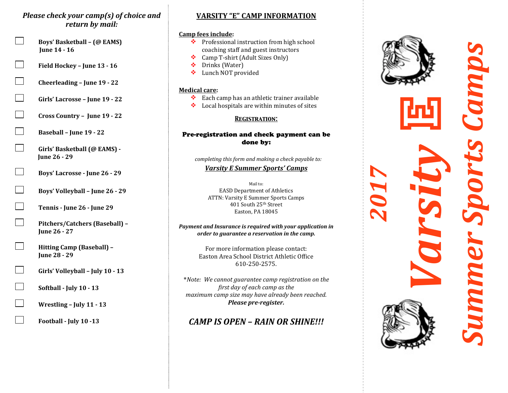## *Please check your camp(s) of choice and* return by mail:

- **Example 3** Boys' Basketball (@ EAMS) **Iune 14 - 16** 
	- **Field Hockey June 13 16**
	- **Cheerleading June 19 22**
	- **Girls' Lacrosse June 19 22**
	- Cross Country June 19 22
	- **Baseball June 19 22**
	- Girls' Basketball (@ EAMS) -**Iune 26 - 29**
- **Boys' Lacrosse June 26 29**
- **Boys' Volleyball June 26 29**
- **Tennis June 26 June 29**
- Pitchers/Catchers (Baseball) -**Iune 26 - 27**
- **Hitting Camp (Baseball) Iune 28 - 29**
- **Girls' Volleyball July 10 13**
- **Softball July 10 13**
- **Wrestling July 11 13**
- **Football July 10 -13**

# **VARSITY "E" CAMP INFORMATION**

## **Camp fees include:**

- ❖ Professional instruction from high school coaching staff and guest instructors
- \* Camp T-shirt (Adult Sizes Only)
- ❖ Drinks (Water)
- ❖ Lunch NOT provided

#### **Medical care:**

- $\cdot \cdot$  Each camp has an athletic trainer available
- $\cdot \cdot$  Local hospitals are within minutes of sites

## *Registration:*

## Pre-registration and check payment can be done by:

completing this form and making a check payable to:

## *Varsity E Summer Sports' Camps*

Mail to: EASD Department of Athletics ATTN: Varsity E Summer Sports Camps 401 South 25<sup>th</sup> Street Easton, PA 18045

#### *Payment and Insurance is required with your application in order to guarantee a reservation in the camp.*

For more information please contact: Easton Area School District Athletic Office 610-250-2575.

\**Note: We cannot guarantee camp registration on the first day of each camp as the maximum+camp+size+may+have+already+been+reached.++ Please pre-register.* 

# *CAMP IS OPEN - RAIN OR SHINE!!!*